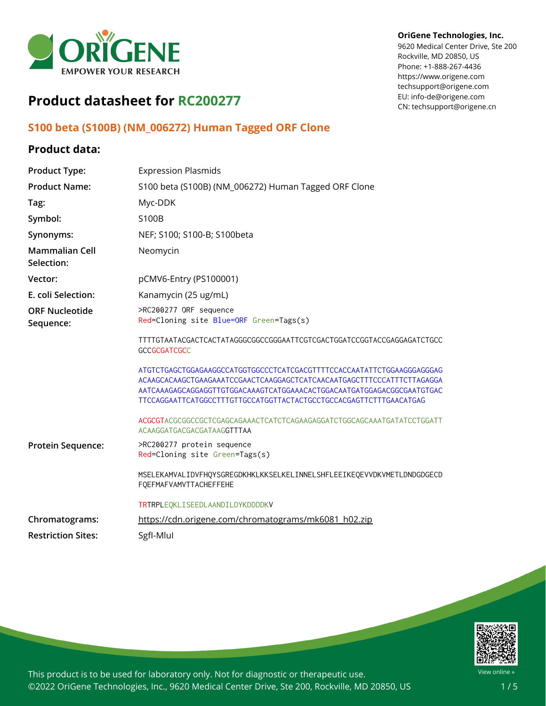

#### **OriGene Technologies, Inc.**

9620 Medical Center Drive, Ste 200 Rockville, MD 20850, US Phone: +1-888-267-4436 https://www.origene.com techsupport@origene.com EU: info-de@origene.com CN: techsupport@origene.cn

# **Product datasheet for RC200277**

## **S100 beta (S100B) (NM\_006272) Human Tagged ORF Clone**

## **Product data:**

| <b>Product Type:</b>                | <b>Expression Plasmids</b>                                                                                                                       |
|-------------------------------------|--------------------------------------------------------------------------------------------------------------------------------------------------|
| <b>Product Name:</b>                | S100 beta (S100B) (NM_006272) Human Tagged ORF Clone                                                                                             |
| Tag:                                | Myc-DDK                                                                                                                                          |
| Symbol:                             | S100B                                                                                                                                            |
| Synonyms:                           | NEF; S100; S100-B; S100beta                                                                                                                      |
| <b>Mammalian Cell</b><br>Selection: | Neomycin                                                                                                                                         |
| Vector:                             | pCMV6-Entry (PS100001)                                                                                                                           |
| E. coli Selection:                  | Kanamycin (25 ug/mL)                                                                                                                             |
| <b>ORF Nucleotide</b><br>Sequence:  | >RC200277 ORF sequence<br>Red=Cloning site Blue=ORF Green=Tags(s)                                                                                |
|                                     | TTTTGTAATACGACTCACTATAGGGCGGCCGGGAATTCGTCGACTGGATCCGGTACCGAGGAGATCTGCC<br><b>GCCGCGATCGCC</b>                                                    |
|                                     | ACAAGCACAAGCTGAAGAAATCCGAACTCAAGGAGCTCATCAACAATGAGCTTTCCCATTTCTTAGAGGA<br>AATCAAAGAGCAGGAGGTTGTGGACAAAGTCATGGAAACACTGGACAATGATGGAGACGGCGAATGTGAC |
|                                     | ACGCGTACGCGGCCGCTCGAGCAGAAACTCATCTCAGAAGAGGATCTGGCAGCAAATGATATCCTGGATT<br>ACAAGGATGACGACGATAAGGTTTAA                                             |
| Protein Sequence:                   | >RC200277 protein sequence<br>Red=Cloning site Green=Tags(s)                                                                                     |
|                                     | MSELEKAMVALIDVFHQYSGREGDKHKLKKSELKELINNELSHFLEEIKEQEVVDKVMETLDNDGDGECD<br>FOEFMAFVAMVTTACHEFFEHE                                                 |
|                                     | TRTRPLEQKLISEEDLAANDILDYKDDDDKV                                                                                                                  |
| Chromatograms:                      | https://cdn.origene.com/chromatograms/mk6081_h02.zip                                                                                             |
| <b>Restriction Sites:</b>           | SgfI-Mlul                                                                                                                                        |



This product is to be used for laboratory only. Not for diagnostic or therapeutic use. ©2022 OriGene Technologies, Inc., 9620 Medical Center Drive, Ste 200, Rockville, MD 20850, US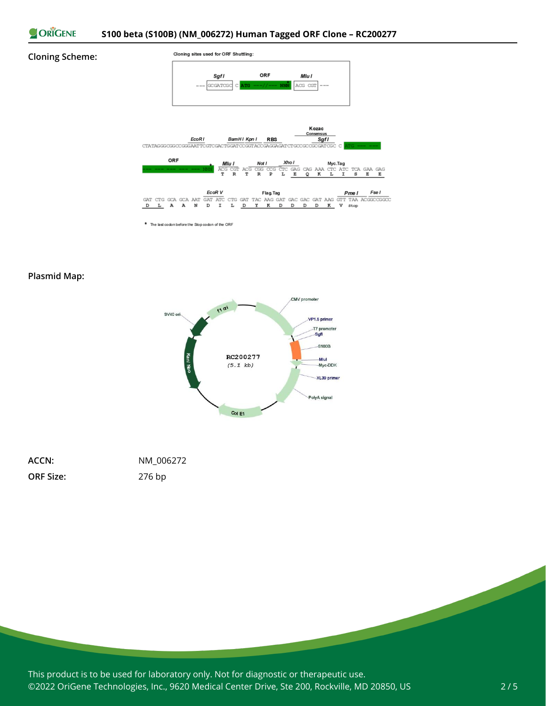

#### **Cloning Scheme:**



\* The last codon before the Stop codon of the ORF

#### **Plasmid Map:**



| ACCN:            | NM 006272 |
|------------------|-----------|
| <b>ORF Size:</b> | $276$ bp  |

This product is to be used for laboratory only. Not for diagnostic or therapeutic use. ©2022 OriGene Technologies, Inc., 9620 Medical Center Drive, Ste 200, Rockville, MD 20850, US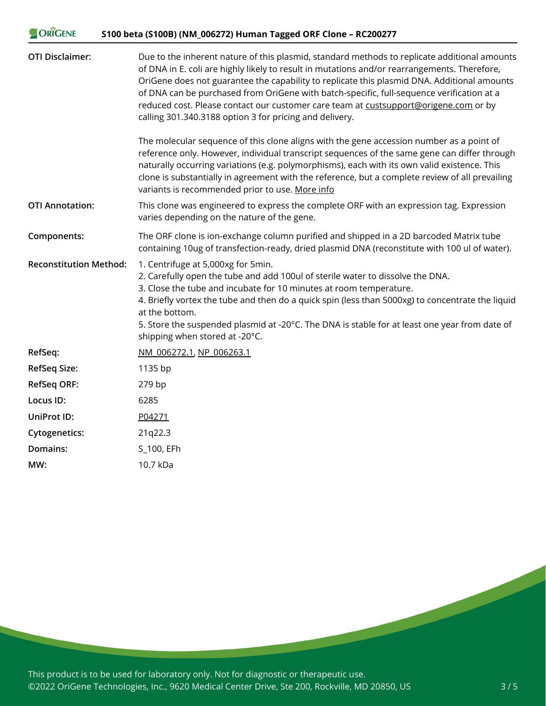| <b>ORIGENE</b>                | S100 beta (S100B) (NM_006272) Human Tagged ORF Clone - RC200277                                                                                                                                                                                                                                                                                                                                                                                                                                                                             |
|-------------------------------|---------------------------------------------------------------------------------------------------------------------------------------------------------------------------------------------------------------------------------------------------------------------------------------------------------------------------------------------------------------------------------------------------------------------------------------------------------------------------------------------------------------------------------------------|
| <b>OTI Disclaimer:</b>        | Due to the inherent nature of this plasmid, standard methods to replicate additional amounts<br>of DNA in E. coli are highly likely to result in mutations and/or rearrangements. Therefore,<br>OriGene does not guarantee the capability to replicate this plasmid DNA. Additional amounts<br>of DNA can be purchased from OriGene with batch-specific, full-sequence verification at a<br>reduced cost. Please contact our customer care team at custsupport@origene.com or by<br>calling 301.340.3188 option 3 for pricing and delivery. |
|                               | The molecular sequence of this clone aligns with the gene accession number as a point of<br>reference only. However, individual transcript sequences of the same gene can differ through<br>naturally occurring variations (e.g. polymorphisms), each with its own valid existence. This<br>clone is substantially in agreement with the reference, but a complete review of all prevailing<br>variants is recommended prior to use. More info                                                                                              |
| <b>OTI Annotation:</b>        | This clone was engineered to express the complete ORF with an expression tag. Expression<br>varies depending on the nature of the gene.                                                                                                                                                                                                                                                                                                                                                                                                     |
| Components:                   | The ORF clone is ion-exchange column purified and shipped in a 2D barcoded Matrix tube<br>containing 10ug of transfection-ready, dried plasmid DNA (reconstitute with 100 ul of water).                                                                                                                                                                                                                                                                                                                                                     |
| <b>Reconstitution Method:</b> | 1. Centrifuge at 5,000xg for 5min.<br>2. Carefully open the tube and add 100ul of sterile water to dissolve the DNA.<br>3. Close the tube and incubate for 10 minutes at room temperature.<br>4. Briefly vortex the tube and then do a quick spin (less than 5000xg) to concentrate the liquid<br>at the bottom.<br>5. Store the suspended plasmid at -20°C. The DNA is stable for at least one year from date of<br>shipping when stored at -20°C.                                                                                         |
| RefSeq:                       | NM 006272.1, NP 006263.1                                                                                                                                                                                                                                                                                                                                                                                                                                                                                                                    |
| <b>RefSeq Size:</b>           | 1135 bp                                                                                                                                                                                                                                                                                                                                                                                                                                                                                                                                     |
| <b>RefSeq ORF:</b>            | 279 bp                                                                                                                                                                                                                                                                                                                                                                                                                                                                                                                                      |
| Locus ID:                     | 6285                                                                                                                                                                                                                                                                                                                                                                                                                                                                                                                                        |
| UniProt ID:                   | P04271                                                                                                                                                                                                                                                                                                                                                                                                                                                                                                                                      |
| <b>Cytogenetics:</b>          | 21q22.3                                                                                                                                                                                                                                                                                                                                                                                                                                                                                                                                     |
| Domains:                      | S_100, EFh                                                                                                                                                                                                                                                                                                                                                                                                                                                                                                                                  |
| MW:                           | 10.7 kDa                                                                                                                                                                                                                                                                                                                                                                                                                                                                                                                                    |

This product is to be used for laboratory only. Not for diagnostic or therapeutic use. ©2022 OriGene Technologies, Inc., 9620 Medical Center Drive, Ste 200, Rockville, MD 20850, US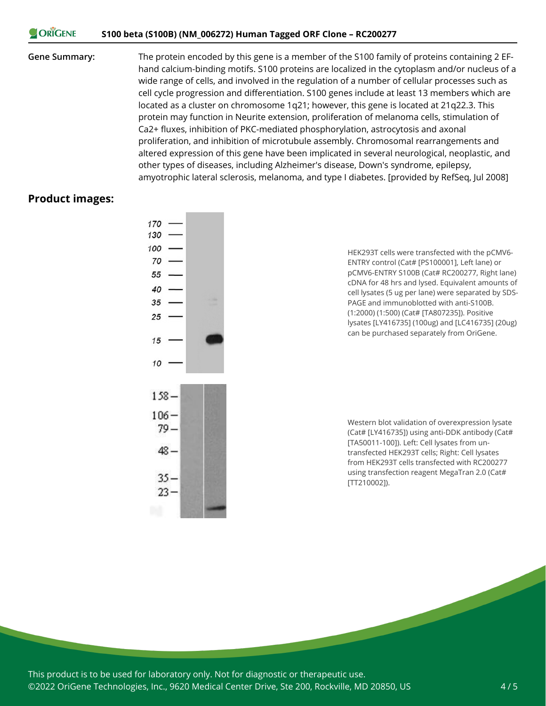#### **CORIGENE S100 beta (S100B) (NM\_006272) Human Tagged ORF Clone – RC200277**

**Gene Summary:** The protein encoded by this gene is a member of the S100 family of proteins containing 2 EFhand calcium-binding motifs. S100 proteins are localized in the cytoplasm and/or nucleus of a wide range of cells, and involved in the regulation of a number of cellular processes such as cell cycle progression and differentiation. S100 genes include at least 13 members which are located as a cluster on chromosome 1q21; however, this gene is located at 21q22.3. This protein may function in Neurite extension, proliferation of melanoma cells, stimulation of Ca2+ fluxes, inhibition of PKC-mediated phosphorylation, astrocytosis and axonal proliferation, and inhibition of microtubule assembly. Chromosomal rearrangements and altered expression of this gene have been implicated in several neurological, neoplastic, and other types of diseases, including Alzheimer's disease, Down's syndrome, epilepsy, amyotrophic lateral sclerosis, melanoma, and type I diabetes. [provided by RefSeq, Jul 2008]

#### **Product images:**



HEK293T cells were transfected with the pCMV6- ENTRY control (Cat# [PS100001], Left lane) or pCMV6-ENTRY S100B (Cat# RC200277, Right lane) cDNA for 48 hrs and lysed. Equivalent amounts of cell lysates (5 ug per lane) were separated by SDS-PAGE and immunoblotted with anti-S100B. (1:2000) (1:500) (Cat# [TA807235]). Positive lysates [LY416735] (100ug) and [LC416735] (20ug) can be purchased separately from OriGene.

Western blot validation of overexpression lysate (Cat# [LY416735]) using anti-DDK antibody (Cat# [TA50011-100]). Left: Cell lysates from untransfected HEK293T cells; Right: Cell lysates from HEK293T cells transfected with RC200277 using transfection reagent MegaTran 2.0 (Cat# [TT210002]).

This product is to be used for laboratory only. Not for diagnostic or therapeutic use. ©2022 OriGene Technologies, Inc., 9620 Medical Center Drive, Ste 200, Rockville, MD 20850, US